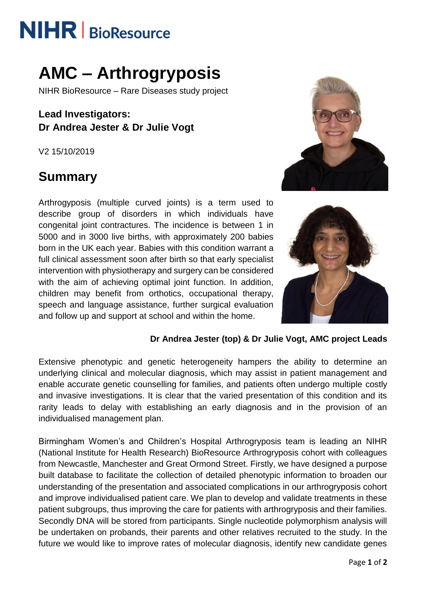# **NIHR** | BioResource

## **AMC – Arthrogryposis**

NIHR BioResource – Rare Diseases study project

**Lead Investigators: Dr Andrea Jester & Dr Julie Vogt**

V2 15/10/2019

## **Summary**

Arthrogyposis (multiple curved joints) is a term used to describe group of disorders in which individuals have congenital joint contractures. The incidence is between 1 in 5000 and in 3000 live births, with approximately 200 babies born in the UK each year. Babies with this condition warrant a full clinical assessment soon after birth so that early specialist intervention with physiotherapy and surgery can be considered with the aim of achieving optimal joint function. In addition, children may benefit from orthotics, occupational therapy, speech and language assistance, further surgical evaluation and follow up and support at school and within the home.





#### **Dr Andrea Jester (top) & Dr Julie Vogt, AMC project Leads**

Extensive phenotypic and genetic heterogeneity hampers the ability to determine an underlying clinical and molecular diagnosis, which may assist in patient management and enable accurate genetic counselling for families, and patients often undergo multiple costly and invasive investigations. It is clear that the varied presentation of this condition and its rarity leads to delay with establishing an early diagnosis and in the provision of an individualised management plan.

Birmingham Women's and Children's Hospital Arthrogryposis team is leading an NIHR (National Institute for Health Research) BioResource Arthrogryposis cohort with colleagues from Newcastle, Manchester and Great Ormond Street. Firstly, we have designed a purpose built database to facilitate the collection of detailed phenotypic information to broaden our understanding of the presentation and associated complications in our arthrogryposis cohort and improve individualised patient care. We plan to develop and validate treatments in these patient subgroups, thus improving the care for patients with arthrogryposis and their families. Secondly DNA will be stored from participants. Single nucleotide polymorphism analysis will be undertaken on probands, their parents and other relatives recruited to the study. In the future we would like to improve rates of molecular diagnosis, identify new candidate genes